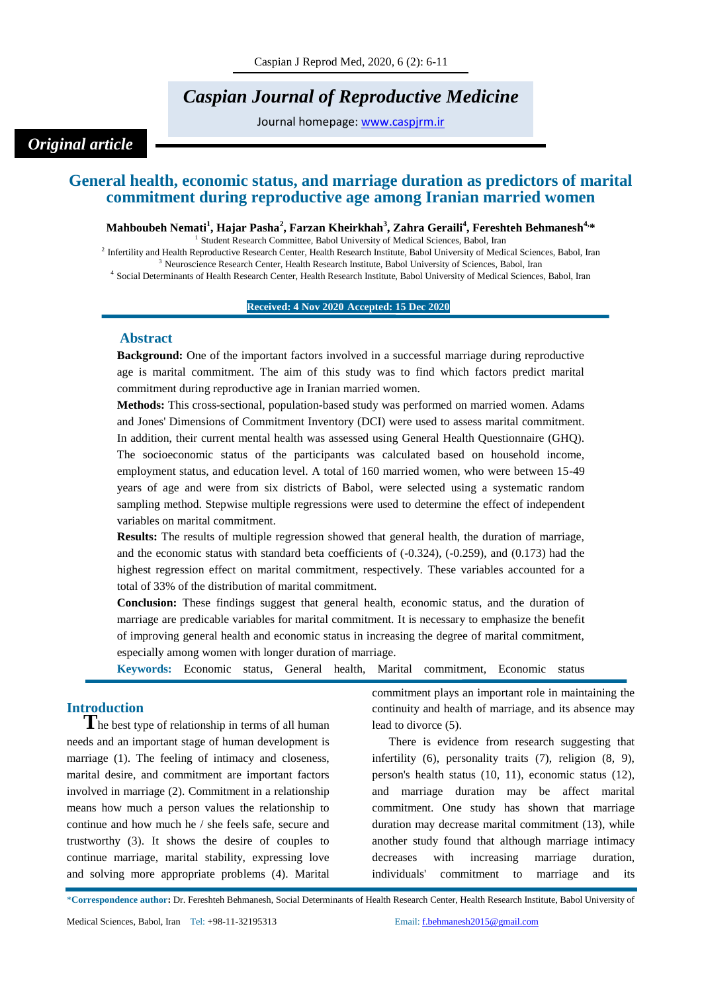# *Caspian Journal of Reproductive Medicine*

Journal homepage: [www.caspjrm.ir](http://www.caspjrm.ir/)

## *Original article*

## **General health, economic status, and marriage duration as predictors of marital commitment during reproductive age among Iranian married women**

#### **Mahboubeh Nemati<sup>1</sup> , Hajar Pasha<sup>2</sup> , Farzan Kheirkhah<sup>3</sup> , Zahra Geraili<sup>4</sup> , Fereshteh Behmanesh4, \***

<sup>1</sup> Student Research Committee, Babol University of Medical Sciences, Babol, Iran

<sup>2</sup> Infertility and Health Reproductive Research Center, Health Research Institute, Babol University of Medical Sciences, Babol, Iran <sup>3</sup> Neuroscience Research Center, Health Research Institute, Babol University of Sciences, Babol, Iran

4 Social Determinants of Health Research Center, Health Research Institute, Babol University of Medical Sciences, Babol, Iran

#### **Received: 4 Nov 2020 Accepted: 15 Dec 2020**

#### **Abstract**

**Background:** One of the important factors involved in a successful marriage during reproductive age is marital commitment. The aim of this study was to find which factors predict marital commitment during reproductive age in Iranian married women.

**Methods:** This cross-sectional, population-based study was performed on married women. Adams and Jones' Dimensions of Commitment Inventory (DCI) were used to assess marital commitment. In addition, their current mental health was assessed using General Health Questionnaire (GHQ). The socioeconomic status of the participants was calculated based on household income, employment status, and education level. A total of 160 married women, who were between 15-49 years of age and were from six districts of Babol, were selected using a systematic random sampling method. Stepwise multiple regressions were used to determine the effect of independent variables on marital commitment.

**Results:** The results of multiple regression showed that general health, the duration of marriage, and the economic status with standard beta coefficients of (-0.324), (-0.259), and (0.173) had the highest regression effect on marital commitment, respectively. These variables accounted for a total of 33% of the distribution of marital commitment.

**Conclusion:** These findings suggest that general health, economic status, and the duration of marriage are predicable variables for marital commitment. It is necessary to emphasize the benefit of improving general health and economic status in increasing the degree of marital commitment, especially among women with longer duration of marriage.

|  |  |  |  |  |  | <b>Keywords:</b> Economic status, General health, Marital commitment, Economic status |  |  |
|--|--|--|--|--|--|---------------------------------------------------------------------------------------|--|--|
|--|--|--|--|--|--|---------------------------------------------------------------------------------------|--|--|

### **Introduction**

**T**he best type of relationship in terms of all human needs and an important stage of human development is marriage (1). The feeling of intimacy and closeness, marital desire, and commitment are important factors involved in marriage (2). Commitment in a relationship means how much a person values the relationship to continue and how much he / she feels safe, secure and trustworthy (3). It shows the desire of couples to continue marriage, marital stability, expressing love and solving more appropriate problems (4). Marital commitment plays an important role in maintaining the continuity and health of marriage, and its absence may lead to divorce (5).

There is evidence from research suggesting that infertility (6), personality traits (7), religion (8, 9), person's health status (10, 11), economic status (12), and marriage duration may be affect marital commitment. One study has shown that marriage duration may decrease marital commitment (13), while another study found that although marriage intimacy decreases with increasing marriage duration, individuals' commitment to marriage and its

\***Correspondence author:** Dr. Fereshteh Behmanesh, Social Determinants of Health Research Center, Health Research Institute, Babol University of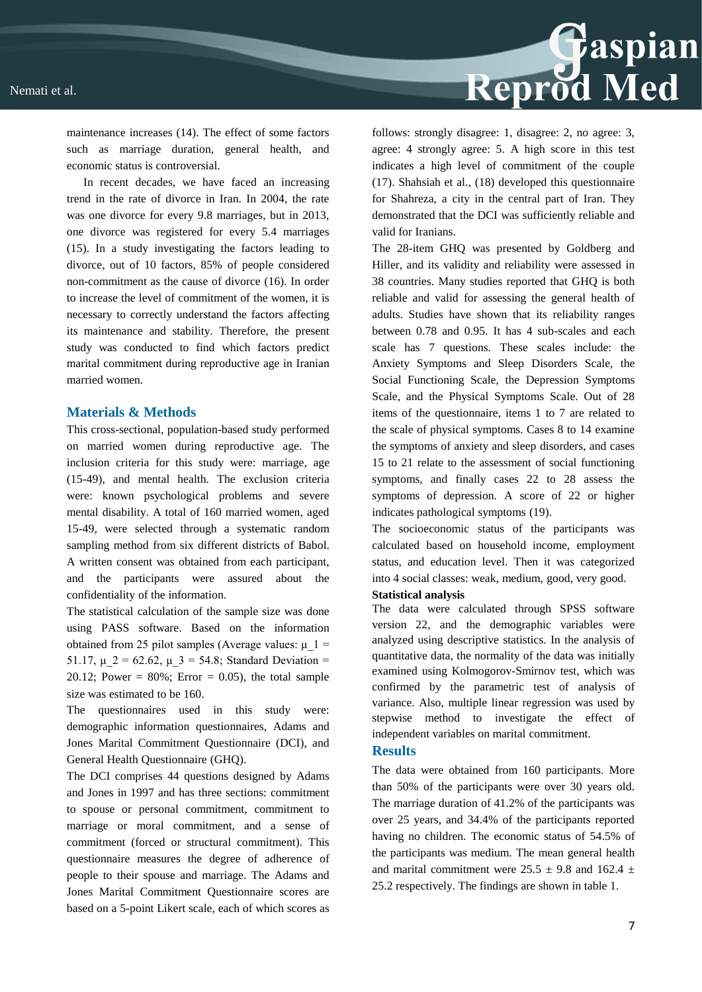

maintenance increases (14). The effect of some factors such as marriage duration, general health, and economic status is controversial.

In recent decades, we have faced an increasing trend in the rate of divorce in Iran. In 2004, the rate was one divorce for every 9.8 marriages, but in 2013, one divorce was registered for every 5.4 marriages (15). In a study investigating the factors leading to divorce, out of 10 factors, 85% of people considered non-commitment as the cause of divorce (16). In order to increase the level of commitment of the women, it is necessary to correctly understand the factors affecting its maintenance and stability. Therefore, the present study was conducted to find which factors predict marital commitment during reproductive age in Iranian married women.

#### **Materials & Methods**

This cross-sectional, population-based study performed on married women during reproductive age. The inclusion criteria for this study were: marriage, age (15-49), and mental health. The exclusion criteria were: known psychological problems and severe mental disability. A total of 160 married women, aged 15-49, were selected through a systematic random sampling method from six different districts of Babol. A written consent was obtained from each participant, and the participants were assured about the confidentiality of the information.

The statistical calculation of the sample size was done using PASS software. Based on the information obtained from 25 pilot samples (Average values:  $\mu$  1 = 51.17,  $\mu$  2 = 62.62,  $\mu$  3 = 54.8; Standard Deviation = 20.12; Power =  $80\%$ ; Error = 0.05), the total sample size was estimated to be 160.

The questionnaires used in this study were: demographic information questionnaires, Adams and Jones Marital Commitment Questionnaire (DCI), and General Health Questionnaire (GHQ).

The DCI comprises 44 questions designed by Adams and Jones in 1997 and has three sections: commitment to spouse or personal commitment, commitment to marriage or moral commitment, and a sense of commitment (forced or structural commitment). This questionnaire measures the degree of adherence of people to their spouse and marriage. The Adams and Jones Marital Commitment Questionnaire scores are based on a 5-point Likert scale, each of which scores as

follows: strongly disagree: 1, disagree: 2, no agree: 3, agree: 4 strongly agree: 5. A high score in this test indicates a high level of commitment of the couple (17). Shahsiah et al., (18) developed this questionnaire for Shahreza, a city in the central part of Iran. They demonstrated that the DCI was sufficiently reliable and valid for Iranians.

The 28-item GHQ was presented by Goldberg and Hiller, and its validity and reliability were assessed in 38 countries. Many studies reported that GHQ is both reliable and valid for assessing the general health of adults. Studies have shown that its reliability ranges between 0.78 and 0.95. It has 4 sub-scales and each scale has 7 questions. These scales include: the Anxiety Symptoms and Sleep Disorders Scale, the Social Functioning Scale, the Depression Symptoms Scale, and the Physical Symptoms Scale. Out of 28 items of the questionnaire, items 1 to 7 are related to the scale of physical symptoms. Cases 8 to 14 examine the symptoms of anxiety and sleep disorders, and cases 15 to 21 relate to the assessment of social functioning symptoms, and finally cases 22 to 28 assess the symptoms of depression. A score of 22 or higher indicates pathological symptoms (19).

The socioeconomic status of the participants was calculated based on household income, employment status, and education level. Then it was categorized into 4 social classes: weak, medium, good, very good.

#### **Statistical analysis**

The data were calculated through SPSS software version 22, and the demographic variables were analyzed using descriptive statistics. In the analysis of quantitative data, the normality of the data was initially examined using Kolmogorov-Smirnov test, which was confirmed by the parametric test of analysis of variance. Also, multiple linear regression was used by stepwise method to investigate the effect of independent variables on marital commitment.

#### **Results**

The data were obtained from 160 participants. More than 50% of the participants were over 30 years old. The marriage duration of 41.2% of the participants was over 25 years, and 34.4% of the participants reported having no children. The economic status of 54.5% of the participants was medium. The mean general health and marital commitment were  $25.5 \pm 9.8$  and  $162.4 \pm 1.5$ 25.2 respectively. The findings are shown in table 1.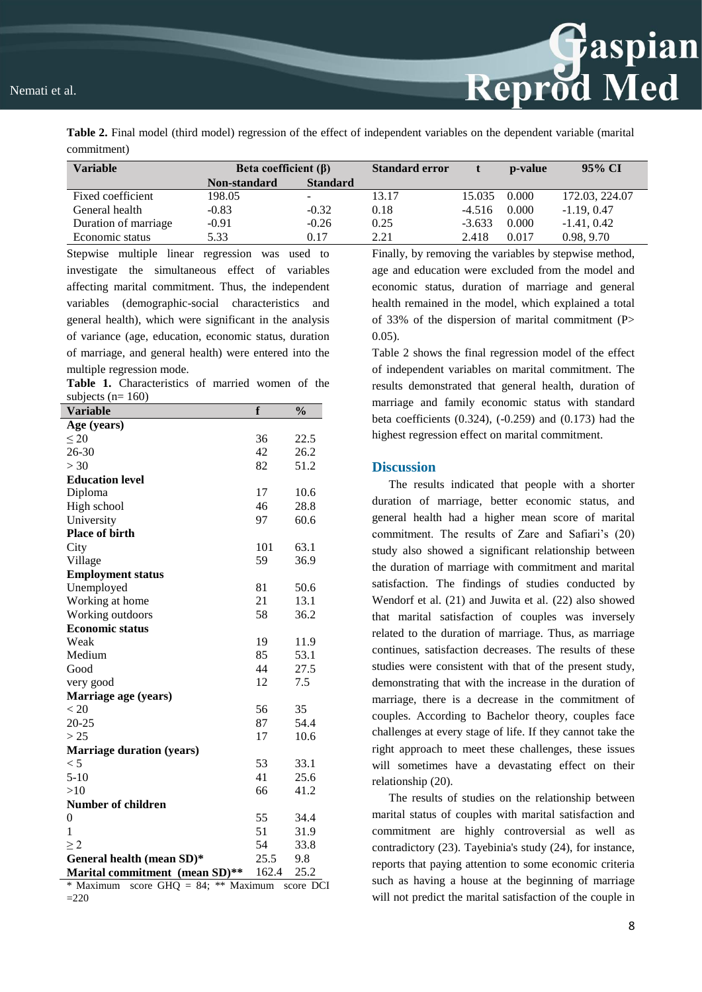#### Nemati et al.

**Table 2.** Final model (third model) regression of the effect of independent variables on the dependent variable (marital commitment)

| Variable             | Beta coefficient $(\beta)$ |                 | <b>Standard error</b> |          | p-value | 95% CI         |
|----------------------|----------------------------|-----------------|-----------------------|----------|---------|----------------|
|                      | Non-standard               | <b>Standard</b> |                       |          |         |                |
| Fixed coefficient    | 198.05                     | -               | 13.17                 | 15.035   | 0.000   | 172.03, 224.07 |
| General health       | $-0.83$                    | $-0.32$         | 0.18                  | $-4.516$ | 0.000   | $-1.19, 0.47$  |
| Duration of marriage | $-0.91$                    | $-0.26$         | 0.25                  | $-3.633$ | 0.000   | $-1.41, 0.42$  |
| Economic status      | 5.33                       | 0.17            | 2.21                  | 2.418    | 0.017   | 0.98, 9.70     |

Stepwise multiple linear regression was used to investigate the simultaneous effect of variables affecting marital commitment. Thus, the independent variables (demographic-social characteristics and general health), which were significant in the analysis of variance (age, education, economic status, duration of marriage, and general health) were entered into the multiple regression mode.

**Table 1.** Characteristics of married women of the subjects  $(n= 160)$ 

| <b>Variable</b>                  | f     | $\frac{0}{0}$ |
|----------------------------------|-------|---------------|
| Age (years)                      |       |               |
| $\leq 20$                        | 36    | 22.5          |
| $26 - 30$                        | 42    | 26.2          |
| > 30                             | 82    | 51.2          |
| <b>Education level</b>           |       |               |
| Diploma                          | 17    | 10.6          |
| High school                      | 46    | 28.8          |
| University                       | 97    | 60.6          |
| <b>Place of birth</b>            |       |               |
| City                             | 101   | 63.1          |
| Village                          | 59    | 36.9          |
| <b>Employment status</b>         |       |               |
| Unemployed                       | 81    | 50.6          |
| Working at home                  | 21    | 13.1          |
| Working outdoors                 | 58    | 36.2          |
| <b>Economic status</b>           |       |               |
| Weak                             | 19    | 11.9          |
| Medium                           | 85    | 53.1          |
| Good                             | 44    | 27.5          |
| very good                        | 12    | 7.5           |
| Marriage age (years)             |       |               |
| < 20                             | 56    | 35            |
| 20-25                            | 87    | 54.4          |
| > 25                             | 17    | 10.6          |
| <b>Marriage duration (years)</b> |       |               |
| < 5                              | 53    | 33.1          |
| $5-10$                           | 41    | 25.6          |
| >10                              | 66    | 41.2          |
| <b>Number of children</b>        |       |               |
| $\theta$                         | 55    | 34.4          |
| 1                                | 51    | 31.9          |
| >2                               | 54    | 33.8          |
| General health (mean SD)*        | 25.5  | 9.8           |
| Marital commitment (mean SD)**   | 162.4 | 25.2          |

\* Maximum score GHQ = 84; \*\* Maximum score DCI  $=220$ 

Finally, by removing the variables by stepwise method, age and education were excluded from the model and economic status, duration of marriage and general health remained in the model, which explained a total of 33% of the dispersion of marital commitment (P> 0.05).

Reprod Med

Table 2 shows the final regression model of the effect of independent variables on marital commitment. The results demonstrated that general health, duration of marriage and family economic status with standard beta coefficients (0.324), (-0.259) and (0.173) had the highest regression effect on marital commitment.

#### **Discussion**

The results indicated that people with a shorter duration of marriage, better economic status, and general health had a higher mean score of marital commitment. The results of Zare and Safiari's (20) study also showed a significant relationship between the duration of marriage with commitment and marital satisfaction. The findings of studies conducted by Wendorf et al. (21) and Juwita et al. (22) also showed that marital satisfaction of couples was inversely related to the duration of marriage. Thus, as marriage continues, satisfaction decreases. The results of these studies were consistent with that of the present study, demonstrating that with the increase in the duration of marriage, there is a decrease in the commitment of couples. According to Bachelor theory, couples face challenges at every stage of life. If they cannot take the right approach to meet these challenges, these issues will sometimes have a devastating effect on their relationship (20).

The results of studies on the relationship between marital status of couples with marital satisfaction and commitment are highly controversial as well as contradictory (23). Tayebinia's study (24), for instance, reports that paying attention to some economic criteria such as having a house at the beginning of marriage will not predict the marital satisfaction of the couple in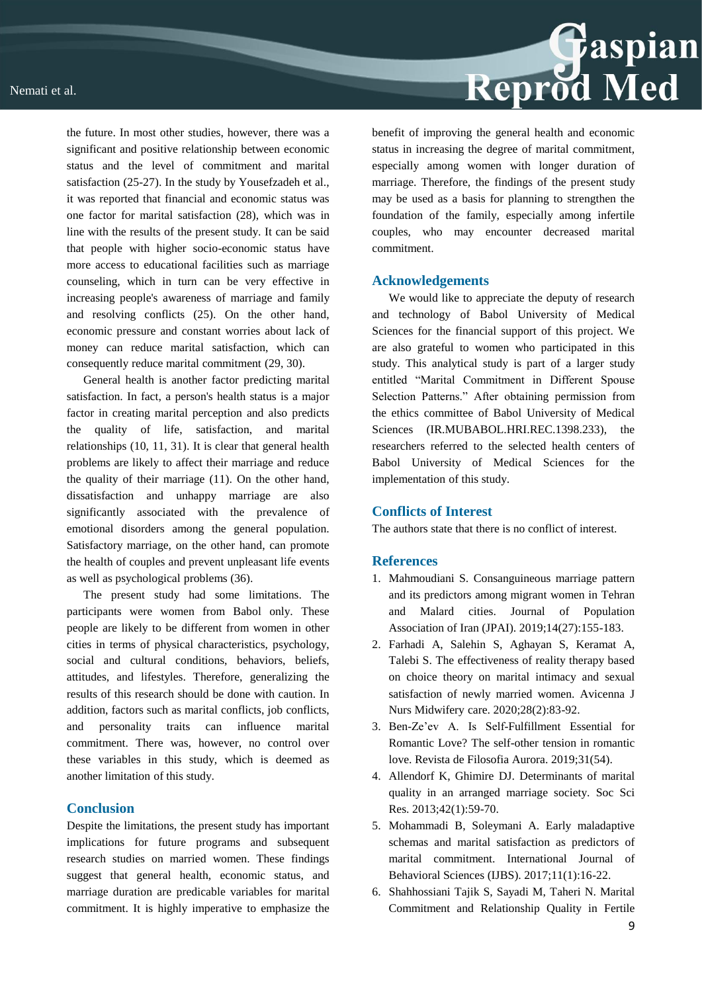

the future. In most other studies, however, there was a significant and positive relationship between economic status and the level of commitment and marital satisfaction (25-27). In the study by Yousefzadeh et al., it was reported that financial and economic status was one factor for marital satisfaction (28), which was in line with the results of the present study. It can be said that people with higher socio-economic status have more access to educational facilities such as marriage counseling, which in turn can be very effective in increasing people's awareness of marriage and family and resolving conflicts (25). On the other hand, economic pressure and constant worries about lack of money can reduce marital satisfaction, which can consequently reduce marital commitment (29, 30).

General health is another factor predicting marital satisfaction. In fact, a person's health status is a major factor in creating marital perception and also predicts the quality of life, satisfaction, and marital relationships (10, 11, 31). It is clear that general health problems are likely to affect their marriage and reduce the quality of their marriage (11). On the other hand, dissatisfaction and unhappy marriage are also significantly associated with the prevalence of emotional disorders among the general population. Satisfactory marriage, on the other hand, can promote the health of couples and prevent unpleasant life events as well as psychological problems (36).

The present study had some limitations. The participants were women from Babol only. These people are likely to be different from women in other cities in terms of physical characteristics, psychology, social and cultural conditions, behaviors, beliefs, attitudes, and lifestyles. Therefore, generalizing the results of this research should be done with caution. In addition, factors such as marital conflicts, job conflicts, and personality traits can influence marital commitment. There was, however, no control over these variables in this study, which is deemed as another limitation of this study.

#### **Conclusion**

Despite the limitations, the present study has important implications for future programs and subsequent research studies on married women. These findings suggest that general health, economic status, and marriage duration are predicable variables for marital commitment. It is highly imperative to emphasize the

benefit of improving the general health and economic status in increasing the degree of marital commitment, especially among women with longer duration of marriage. Therefore, the findings of the present study may be used as a basis for planning to strengthen the foundation of the family, especially among infertile couples, who may encounter decreased marital commitment.

#### **Acknowledgements**

We would like to appreciate the deputy of research and technology of Babol University of Medical Sciences for the financial support of this project. We are also grateful to women who participated in this study. This analytical study is part of a larger study entitled "Marital Commitment in Different Spouse Selection Patterns." After obtaining permission from the ethics committee of Babol University of Medical Sciences (IR.MUBABOL.HRI.REC.1398.233), the researchers referred to the selected health centers of Babol University of Medical Sciences for the implementation of this study.

#### **Conflicts of Interest**

The authors state that there is no conflict of interest.

#### **References**

- 1. Mahmoudiani S. Consanguineous marriage pattern and its predictors among migrant women in Tehran and Malard cities. Journal of Population Association of Iran (JPAI). 2019;14(27):155-183.
- 2. Farhadi A, Salehin S, Aghayan S, Keramat A, Talebi S. The effectiveness of reality therapy based on choice theory on marital intimacy and sexual satisfaction of newly married women. Avicenna J Nurs Midwifery care. 2020;28(2):83-92.
- 3. Ben-Ze'ev A. Is Self-Fulfillment Essential for Romantic Love? The self-other tension in romantic love. Revista de Filosofia Aurora. 2019;31(54).
- 4. Allendorf K, Ghimire DJ. Determinants of marital quality in an arranged marriage society. Soc Sci Res. 2013;42(1):59-70.
- 5. Mohammadi B, Soleymani A. Early maladaptive schemas and marital satisfaction as predictors of marital commitment. International Journal of Behavioral Sciences (IJBS). 2017;11(1):16-22.
- 6. Shahhossiani Tajik S, Sayadi M, Taheri N. Marital Commitment and Relationship Quality in Fertile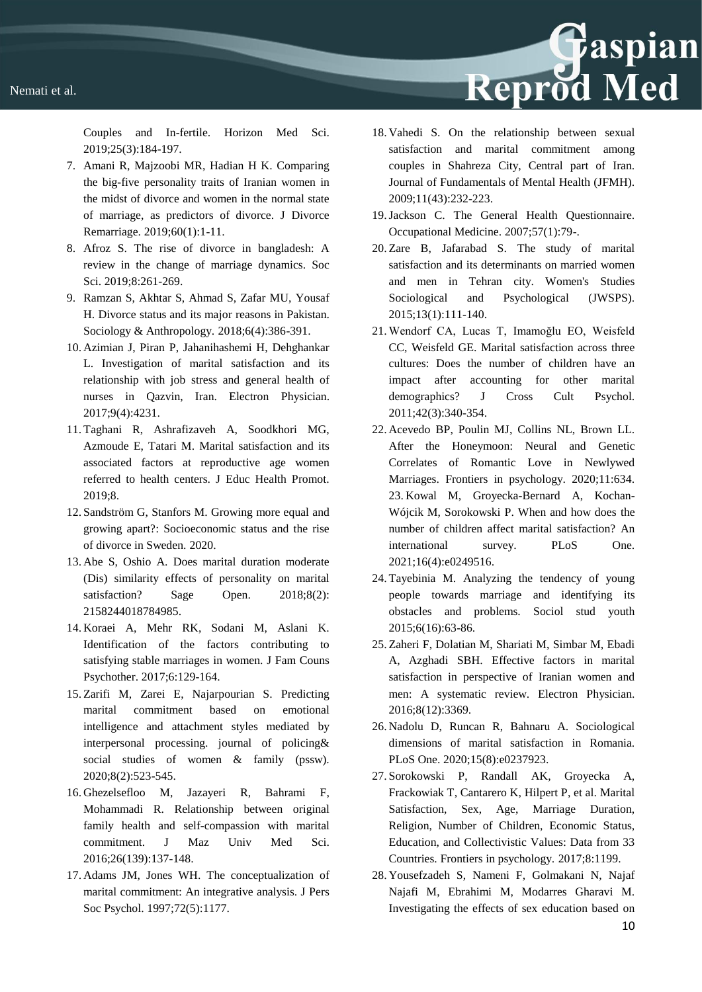Couples and In-fertile. Horizon Med Sci. 2019;25(3):184-197.

- 7. Amani R, Majzoobi MR, Hadian H K. Comparing the big-five personality traits of Iranian women in the midst of divorce and women in the normal state of marriage, as predictors of divorce. J Divorce Remarriage. 2019;60(1):1-11.
- 8. Afroz S. The rise of divorce in bangladesh: A review in the change of marriage dynamics. Soc Sci. 2019;8:261-269.
- 9. Ramzan S, Akhtar S, Ahmad S, Zafar MU, Yousaf H. Divorce status and its major reasons in Pakistan. Sociology & Anthropology. 2018;6(4):386-391.
- 10. Azimian J, Piran P, Jahanihashemi H, Dehghankar L. Investigation of marital satisfaction and its relationship with job stress and general health of nurses in Qazvin, Iran. Electron Physician. 2017;9(4):4231.
- 11. Taghani R, Ashrafizaveh A, Soodkhori MG, Azmoude E, Tatari M. Marital satisfaction and its associated factors at reproductive age women referred to health centers. J Educ Health Promot. 2019;8.
- 12. Sandström G, Stanfors M. Growing more equal and growing apart?: Socioeconomic status and the rise of divorce in Sweden. 2020.
- 13. Abe S, Oshio A. Does marital duration moderate (Dis) similarity effects of personality on marital satisfaction? Sage Open. 2018;8(2): 2158244018784985.
- 14. Koraei A, Mehr RK, Sodani M, Aslani K. Identification of the factors contributing to satisfying stable marriages in women. J Fam Couns Psychother. 2017;6:129-164.
- 15. Zarifi M, Zarei E, Najarpourian S. Predicting marital commitment based on emotional intelligence and attachment styles mediated by interpersonal processing. journal of policing& social studies of women & family (pssw). 2020;8(2):523-545.
- 16. Ghezelsefloo M, Jazayeri R, Bahrami F, Mohammadi R. Relationship between original family health and self-compassion with marital commitment. J Maz Univ Med Sci. 2016;26(139):137-148.
- 17. Adams JM, Jones WH. The conceptualization of marital commitment: An integrative analysis. J Pers Soc Psychol. 1997;72(5):1177.

18. Vahedi S. On the relationship between sexual satisfaction and marital commitment among couples in Shahreza City, Central part of Iran. Journal of Fundamentals of Mental Health (JFMH). 2009;11(43):232-223.

Reprod Med

- 19.Jackson C. The General Health Questionnaire. Occupational Medicine. 2007;57(1):79-.
- 20. Zare B, Jafarabad S. The study of marital satisfaction and its determinants on married women and men in Tehran city. Women's Studies Sociological and Psychological (JWSPS). 2015;13(1):111-140.
- 21. Wendorf CA, Lucas T, Imamoğlu EO, Weisfeld CC, Weisfeld GE. Marital satisfaction across three cultures: Does the number of children have an impact after accounting for other marital demographics? J Cross Cult Psychol. 2011;42(3):340-354.
- 22. Acevedo BP, Poulin MJ, Collins NL, Brown LL. After the Honeymoon: Neural and Genetic Correlates of Romantic Love in Newlywed Marriages. Frontiers in psychology. 2020;11:634. 23. Kowal M, Groyecka-Bernard A, Kochan-Wójcik M, Sorokowski P. When and how does the number of children affect marital satisfaction? An international survey. PLoS One. 2021;16(4):e0249516.
- 24. Tayebinia M. Analyzing the tendency of young people towards marriage and identifying its obstacles and problems. Sociol stud youth 2015;6(16):63-86.
- 25. Zaheri F, Dolatian M, Shariati M, Simbar M, Ebadi A, Azghadi SBH. Effective factors in marital satisfaction in perspective of Iranian women and men: A systematic review. Electron Physician. 2016;8(12):3369.
- 26. Nadolu D, Runcan R, Bahnaru A. Sociological dimensions of marital satisfaction in Romania. PLoS One. 2020;15(8):e0237923.
- 27. Sorokowski P, Randall AK, Groyecka A, Frackowiak T, Cantarero K, Hilpert P, et al. Marital Satisfaction, Sex, Age, Marriage Duration, Religion, Number of Children, Economic Status, Education, and Collectivistic Values: Data from 33 Countries. Frontiers in psychology. 2017;8:1199.
- 28. Yousefzadeh S, Nameni F, Golmakani N, Najaf Najafi M, Ebrahimi M, Modarres Gharavi M. Investigating the effects of sex education based on